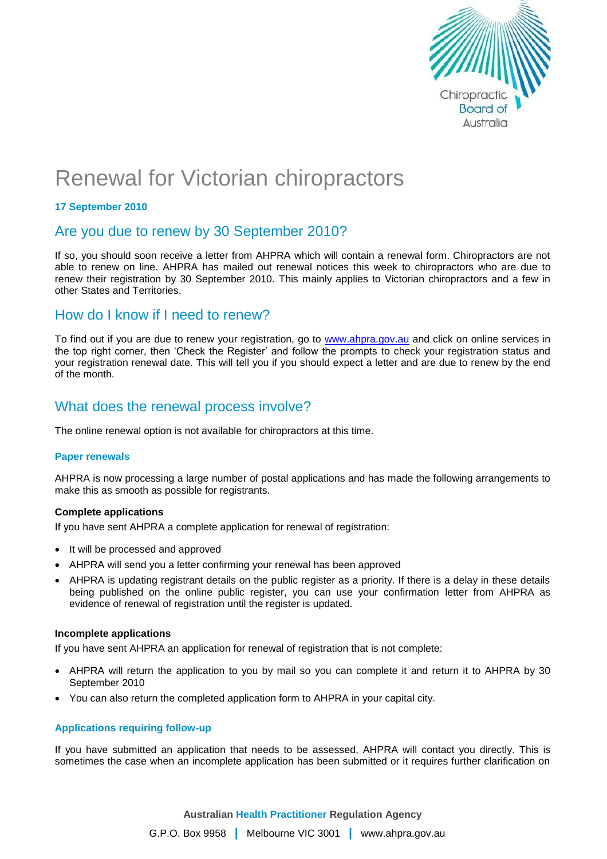

# Renewal for Victorian chiropractors

#### **17 September 2010**

## Are you due to renew by 30 September 2010?

If so, you should soon receive a letter from AHPRA which will contain a renewal form. Chiropractors are not able to renew on line. AHPRA has mailed out renewal notices this week to chiropractors who are due to renew their registration by 30 September 2010. This mainly applies to Victorian chiropractors and a few in other States and Territories.

### How do I know if I need to renew?

To find out if you are due to renew your registration, go to [www.ahpra.gov.au](http://www.ahpra.gov.au/) and click on online services in the top right corner, then 'Check the Register' and follow the prompts to check your registration status and your registration renewal date. This will tell you if you should expect a letter and are due to renew by the end of the month.

# What does the renewal process involve?

The online renewal option is not available for chiropractors at this time.

#### **Paper renewals**

AHPRA is now processing a large number of postal applications and has made the following arrangements to make this as smooth as possible for registrants.

#### **Complete applications**

If you have sent AHPRA a complete application for renewal of registration:

- It will be processed and approved
- AHPRA will send you a letter confirming your renewal has been approved
- AHPRA is updating registrant details on the public register as a priority. If there is a delay in these details being published on the online public register, you can use your confirmation letter from AHPRA as evidence of renewal of registration until the register is updated.

#### **Incomplete applications**

If you have sent AHPRA an application for renewal of registration that is not complete:

- AHPRA will return the application to you by mail so you can complete it and return it to AHPRA by 30 September 2010
- You can also return the completed application form to AHPRA in your capital city.

#### **Applications requiring follow-up**

If you have submitted an application that needs to be assessed, AHPRA will contact you directly. This is sometimes the case when an incomplete application has been submitted or it requires further clarification on

**Australian Health Practitioner Regulation Agency**